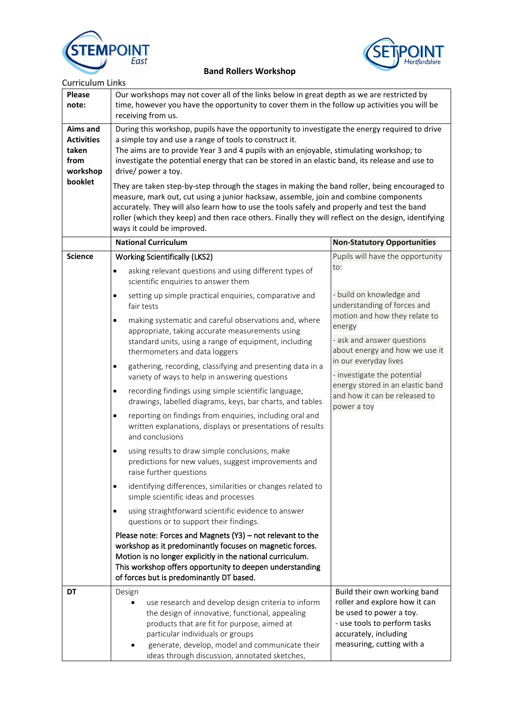



## **Band Rollers Workshop**

| <b>Curriculum Links</b> |  |
|-------------------------|--|
|                         |  |

| <b>Please</b><br>note:                                            | Our workshops may not cover all of the links below in great depth as we are restricted by<br>time, however you have the opportunity to cover them in the follow up activities you will be<br>receiving from us.                                                                                                                                                                                                                                                                                                                                                                                                                                                                                                                                                                                          |                                                                                                                                                                                |  |
|-------------------------------------------------------------------|----------------------------------------------------------------------------------------------------------------------------------------------------------------------------------------------------------------------------------------------------------------------------------------------------------------------------------------------------------------------------------------------------------------------------------------------------------------------------------------------------------------------------------------------------------------------------------------------------------------------------------------------------------------------------------------------------------------------------------------------------------------------------------------------------------|--------------------------------------------------------------------------------------------------------------------------------------------------------------------------------|--|
| <b>Aims and</b><br><b>Activities</b><br>taken<br>from<br>workshop | During this workshop, pupils have the opportunity to investigate the energy required to drive<br>a simple toy and use a range of tools to construct it.<br>The aims are to provide Year 3 and 4 pupils with an enjoyable, stimulating workshop; to<br>investigate the potential energy that can be stored in an elastic band, its release and use to<br>drive/ power a toy.<br>They are taken step-by-step through the stages in making the band roller, being encouraged to<br>measure, mark out, cut using a junior hacksaw, assemble, join and combine components<br>accurately. They will also learn how to use the tools safely and properly and test the band<br>roller (which they keep) and then race others. Finally they will reflect on the design, identifying<br>ways it could be improved. |                                                                                                                                                                                |  |
| booklet                                                           |                                                                                                                                                                                                                                                                                                                                                                                                                                                                                                                                                                                                                                                                                                                                                                                                          |                                                                                                                                                                                |  |
|                                                                   | <b>National Curriculum</b>                                                                                                                                                                                                                                                                                                                                                                                                                                                                                                                                                                                                                                                                                                                                                                               | <b>Non-Statutory Opportunities</b>                                                                                                                                             |  |
| <b>Science</b>                                                    | <b>Working Scientifically (LKS2)</b>                                                                                                                                                                                                                                                                                                                                                                                                                                                                                                                                                                                                                                                                                                                                                                     | Pupils will have the opportunity                                                                                                                                               |  |
|                                                                   | asking relevant questions and using different types of<br>$\bullet$<br>scientific enquiries to answer them                                                                                                                                                                                                                                                                                                                                                                                                                                                                                                                                                                                                                                                                                               | to:                                                                                                                                                                            |  |
|                                                                   | setting up simple practical enquiries, comparative and<br>$\bullet$<br>fair tests                                                                                                                                                                                                                                                                                                                                                                                                                                                                                                                                                                                                                                                                                                                        | - build on knowledge and<br>understanding of forces and                                                                                                                        |  |
|                                                                   | making systematic and careful observations and, where<br>$\bullet$<br>appropriate, taking accurate measurements using<br>standard units, using a range of equipment, including<br>thermometers and data loggers                                                                                                                                                                                                                                                                                                                                                                                                                                                                                                                                                                                          | motion and how they relate to<br>energy<br>- ask and answer questions<br>about energy and how we use it                                                                        |  |
|                                                                   | gathering, recording, classifying and presenting data in a<br>$\bullet$<br>variety of ways to help in answering questions                                                                                                                                                                                                                                                                                                                                                                                                                                                                                                                                                                                                                                                                                | in our everyday lives<br>- investigate the potential                                                                                                                           |  |
|                                                                   | recording findings using simple scientific language,<br>$\bullet$<br>drawings, labelled diagrams, keys, bar charts, and tables                                                                                                                                                                                                                                                                                                                                                                                                                                                                                                                                                                                                                                                                           | energy stored in an elastic band<br>and how it can be released to<br>power a toy                                                                                               |  |
|                                                                   | reporting on findings from enquiries, including oral and<br>$\bullet$<br>written explanations, displays or presentations of results<br>and conclusions                                                                                                                                                                                                                                                                                                                                                                                                                                                                                                                                                                                                                                                   |                                                                                                                                                                                |  |
|                                                                   | using results to draw simple conclusions, make<br>٠<br>predictions for new values, suggest improvements and<br>raise further questions                                                                                                                                                                                                                                                                                                                                                                                                                                                                                                                                                                                                                                                                   |                                                                                                                                                                                |  |
|                                                                   | identifying differences, similarities or changes related to<br>$\bullet$<br>simple scientific ideas and processes                                                                                                                                                                                                                                                                                                                                                                                                                                                                                                                                                                                                                                                                                        |                                                                                                                                                                                |  |
|                                                                   | using straightforward scientific evidence to answer<br>$\bullet$<br>questions or to support their findings.                                                                                                                                                                                                                                                                                                                                                                                                                                                                                                                                                                                                                                                                                              |                                                                                                                                                                                |  |
|                                                                   | Please note: Forces and Magnets (Y3) - not relevant to the<br>workshop as it predominantly focuses on magnetic forces.<br>Motion is no longer explicitly in the national curriculum.<br>This workshop offers opportunity to deepen understanding<br>of forces but is predominantly DT based.                                                                                                                                                                                                                                                                                                                                                                                                                                                                                                             |                                                                                                                                                                                |  |
| <b>DT</b>                                                         | Design<br>use research and develop design criteria to inform<br>the design of innovative, functional, appealing<br>products that are fit for purpose, aimed at<br>particular individuals or groups<br>generate, develop, model and communicate their<br>ideas through discussion, annotated sketches,                                                                                                                                                                                                                                                                                                                                                                                                                                                                                                    | Build their own working band<br>roller and explore how it can<br>be used to power a toy.<br>- use tools to perform tasks<br>accurately, including<br>measuring, cutting with a |  |